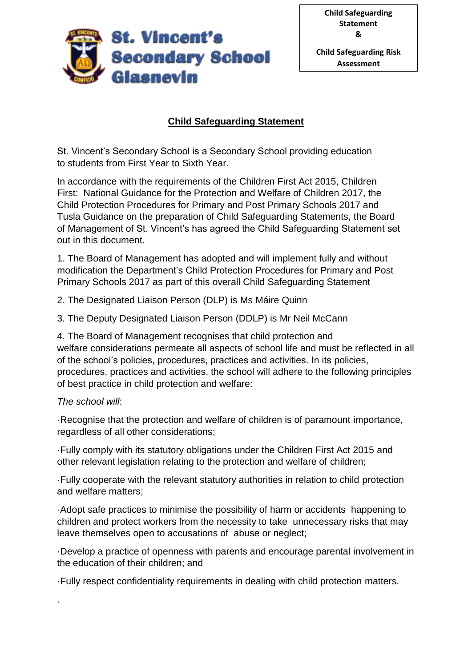

# **Child Safeguarding Statement**

St. Vincent's Secondary School is a Secondary School providing education to students from First Year to Sixth Year.

In accordance with the requirements of the Children First Act 2015, Children First: National Guidance for the Protection and Welfare of Children 2017, the Child Protection Procedures for Primary and Post Primary Schools 2017 and Tusla Guidance on the preparation of Child Safeguarding Statements, the Board of Management of St. Vincent's has agreed the Child Safeguarding Statement set out in this document.

1. The Board of Management has adopted and will implement fully and without modification the Department's Child Protection Procedures for Primary and Post Primary Schools 2017 as part of this overall Child Safeguarding Statement

2. The Designated Liaison Person (DLP) is Ms Máire Quinn

3. The Deputy Designated Liaison Person (DDLP) is Mr Neil McCann

4. The Board of Management recognises that child protection and welfare considerations permeate all aspects of school life and must be reflected in all of the school's policies, procedures, practices and activities. In its policies, procedures, practices and activities, the school will adhere to the following principles of best practice in child protection and welfare:

#### *The school will*:

.

·Recognise that the protection and welfare of children is of paramount importance, regardless of all other considerations;

·Fully comply with its statutory obligations under the Children First Act 2015 and other relevant legislation relating to the protection and welfare of children;

·Fully cooperate with the relevant statutory authorities in relation to child protection and welfare matters;

·Adopt safe practices to minimise the possibility of harm or accidents happening to children and protect workers from the necessity to take unnecessary risks that may leave themselves open to accusations of abuse or neglect;

·Develop a practice of openness with parents and encourage parental involvement in the education of their children; and

·Fully respect confidentiality requirements in dealing with child protection matters.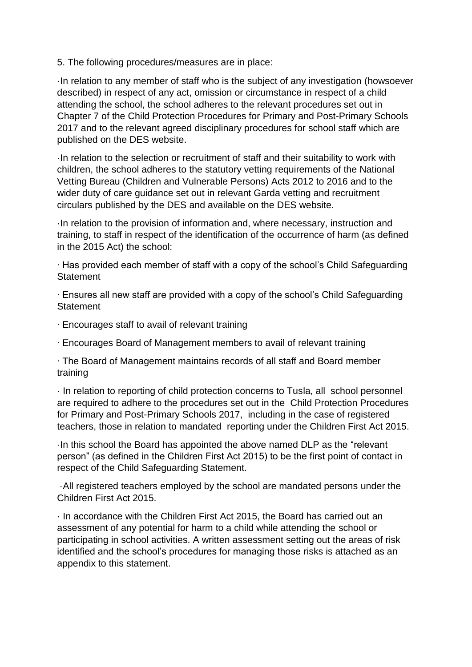5. The following procedures/measures are in place:

·In relation to any member of staff who is the subject of any investigation (howsoever described) in respect of any act, omission or circumstance in respect of a child attending the school, the school adheres to the relevant procedures set out in Chapter 7 of the Child Protection Procedures for Primary and Post-Primary Schools 2017 and to the relevant agreed disciplinary procedures for school staff which are published on the DES website.

·In relation to the selection or recruitment of staff and their suitability to work with children, the school adheres to the statutory vetting requirements of the National Vetting Bureau (Children and Vulnerable Persons) Acts 2012 to 2016 and to the wider duty of care guidance set out in relevant Garda vetting and recruitment circulars published by the DES and available on the DES website.

·In relation to the provision of information and, where necessary, instruction and training, to staff in respect of the identification of the occurrence of harm (as defined in the 2015 Act) the school:

∙ Has provided each member of staff with a copy of the school's Child Safeguarding **Statement** 

∙ Ensures all new staff are provided with a copy of the school's Child Safeguarding **Statement** 

- ∙ Encourages staff to avail of relevant training
- ∙ Encourages Board of Management members to avail of relevant training

∙ The Board of Management maintains records of all staff and Board member training

· In relation to reporting of child protection concerns to Tusla, all school personnel are required to adhere to the procedures set out in the Child Protection Procedures for Primary and Post-Primary Schools 2017, including in the case of registered teachers, those in relation to mandated reporting under the Children First Act 2015.

·In this school the Board has appointed the above named DLP as the "relevant person" (as defined in the Children First Act 2015) to be the first point of contact in respect of the Child Safeguarding Statement.

·All registered teachers employed by the school are mandated persons under the Children First Act 2015.

· In accordance with the Children First Act 2015, the Board has carried out an assessment of any potential for harm to a child while attending the school or participating in school activities. A written assessment setting out the areas of risk identified and the school's procedures for managing those risks is attached as an appendix to this statement.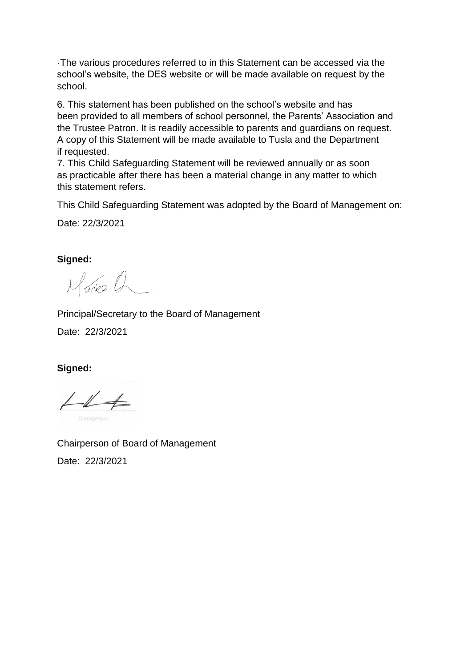·The various procedures referred to in this Statement can be accessed via the school's website, the DES website or will be made available on request by the school.

6. This statement has been published on the school's website and has been provided to all members of school personnel, the Parents' Association and the Trustee Patron. It is readily accessible to parents and guardians on request. A copy of this Statement will be made available to Tusla and the Department if requested.

7. This Child Safeguarding Statement will be reviewed annually or as soon as practicable after there has been a material change in any matter to which this statement refers.

This Child Safeguarding Statement was adopted by the Board of Management on:

Date: 22/3/2021

**Signed:**

Marie Q

Principal/Secretary to the Board of Management

Date: 22/3/2021

**Signed:**

 $L1$ Charnerson

Chairperson of Board of Management Date: 22/3/2021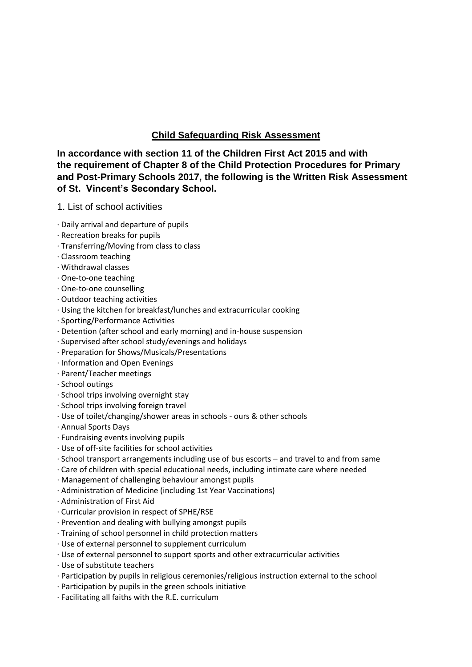# **Child Safeguarding Risk Assessment**

**In accordance with section 11 of the Children First Act 2015 and with the requirement of Chapter 8 of the Child Protection Procedures for Primary and Post-Primary Schools 2017, the following is the Written Risk Assessment of St. Vincent's Secondary School.** 

- 1. List of school activities
- ∙ Daily arrival and departure of pupils
- ∙ Recreation breaks for pupils
- ∙ Transferring/Moving from class to class
- ∙ Classroom teaching
- ∙ Withdrawal classes
- ∙ One-to-one teaching
- ∙ One-to-one counselling
- ∙ Outdoor teaching activities
- ∙ Using the kitchen for breakfast/lunches and extracurricular cooking
- ∙ Sporting/Performance Activities
- ∙ Detention (after school and early morning) and in-house suspension
- ∙ Supervised after school study/evenings and holidays
- ∙ Preparation for Shows/Musicals/Presentations
- ∙ Information and Open Evenings
- ∙ Parent/Teacher meetings
- ∙ School outings
- ∙ School trips involving overnight stay
- ∙ School trips involving foreign travel
- ∙ Use of toilet/changing/shower areas in schools ours & other schools
- ∙ Annual Sports Days
- ∙ Fundraising events involving pupils
- ∙ Use of off-site facilities for school activities
- ∙ School transport arrangements including use of bus escorts and travel to and from same
- ∙ Care of children with special educational needs, including intimate care where needed
- ∙ Management of challenging behaviour amongst pupils
- ∙ Administration of Medicine (including 1st Year Vaccinations)
- ∙ Administration of First Aid
- ∙ Curricular provision in respect of SPHE/RSE
- ∙ Prevention and dealing with bullying amongst pupils
- ∙ Training of school personnel in child protection matters
- ∙ Use of external personnel to supplement curriculum
- ∙ Use of external personnel to support sports and other extracurricular activities
- ∙ Use of substitute teachers
- ∙ Participation by pupils in religious ceremonies/religious instruction external to the school
- ∙ Participation by pupils in the green schools initiative
- ∙ Facilitating all faiths with the R.E. curriculum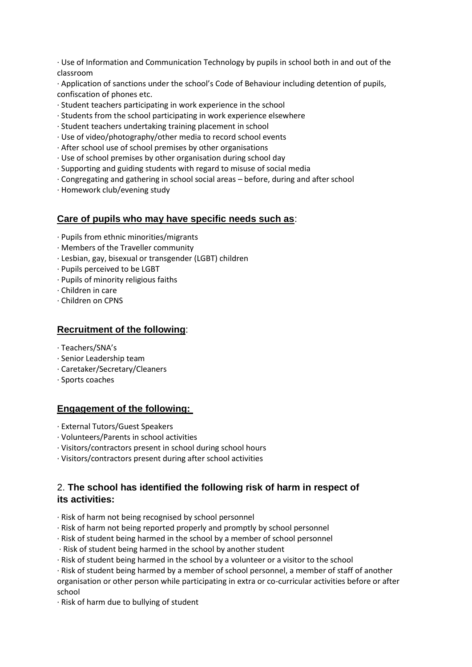∙ Use of Information and Communication Technology by pupils in school both in and out of the classroom

∙ Application of sanctions under the school's Code of Behaviour including detention of pupils, confiscation of phones etc.

- ∙ Student teachers participating in work experience in the school
- ∙ Students from the school participating in work experience elsewhere
- ∙ Student teachers undertaking training placement in school
- ∙ Use of video/photography/other media to record school events
- ∙ After school use of school premises by other organisations
- ∙ Use of school premises by other organisation during school day
- ∙ Supporting and guiding students with regard to misuse of social media
- ∙ Congregating and gathering in school social areas before, during and after school
- ∙ Homework club/evening study

## **Care of pupils who may have specific needs such as**:

- · Pupils from ethnic minorities/migrants
- · Members of the Traveller community
- · Lesbian, gay, bisexual or transgender (LGBT) children
- · Pupils perceived to be LGBT
- · Pupils of minority religious faiths
- · Children in care
- · Children on CPNS

#### **Recruitment of the following**:

- ∙ Teachers/SNA's
- · Senior Leadership team
- · Caretaker/Secretary/Cleaners
- · Sports coaches

#### **Engagement of the following:**

- · External Tutors/Guest Speakers
- · Volunteers/Parents in school activities
- · Visitors/contractors present in school during school hours
- · Visitors/contractors present during after school activities

#### 2. **The school has identified the following risk of harm in respect of its activities:**

- ∙ Risk of harm not being recognised by school personnel
- ∙ Risk of harm not being reported properly and promptly by school personnel
- ∙ Risk of student being harmed in the school by a member of school personnel
- ∙ Risk of student being harmed in the school by another student
- ∙ Risk of student being harmed in the school by a volunteer or a visitor to the school

∙ Risk of student being harmed by a member of school personnel, a member of staff of another organisation or other person while participating in extra or co-curricular activities before or after school

∙ Risk of harm due to bullying of student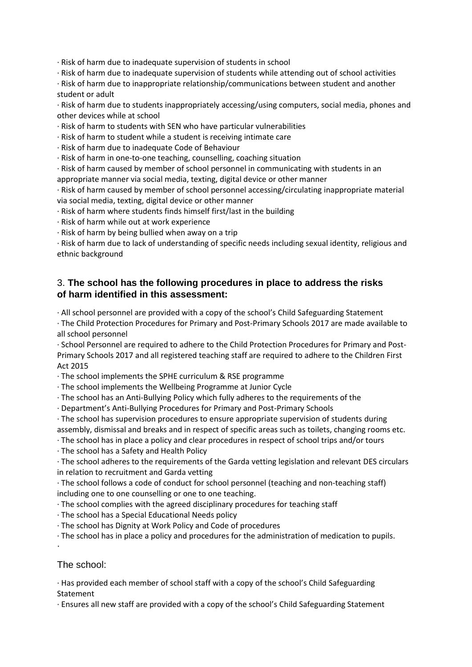∙ Risk of harm due to inadequate supervision of students in school

∙ Risk of harm due to inadequate supervision of students while attending out of school activities

∙ Risk of harm due to inappropriate relationship/communications between student and another student or adult

∙ Risk of harm due to students inappropriately accessing/using computers, social media, phones and other devices while at school

∙ Risk of harm to students with SEN who have particular vulnerabilities

∙ Risk of harm to student while a student is receiving intimate care

∙ Risk of harm due to inadequate Code of Behaviour

∙ Risk of harm in one-to-one teaching, counselling, coaching situation

∙ Risk of harm caused by member of school personnel in communicating with students in an appropriate manner via social media, texting, digital device or other manner

∙ Risk of harm caused by member of school personnel accessing/circulating inappropriate material via social media, texting, digital device or other manner

∙ Risk of harm where students finds himself first/last in the building

∙ Risk of harm while out at work experience

∙ Risk of harm by being bullied when away on a trip

∙ Risk of harm due to lack of understanding of specific needs including sexual identity, religious and ethnic background

## 3. **The school has the following procedures in place to address the risks of harm identified in this assessment:**

∙ All school personnel are provided with a copy of the school's Child Safeguarding Statement

∙ The Child Protection Procedures for Primary and Post-Primary Schools 2017 are made available to all school personnel

∙ School Personnel are required to adhere to the Child Protection Procedures for Primary and Post-Primary Schools 2017 and all registered teaching staff are required to adhere to the Children First Act 2015

∙ The school implements the SPHE curriculum & RSE programme

∙ The school implements the Wellbeing Programme at Junior Cycle

∙ The school has an Anti-Bullying Policy which fully adheres to the requirements of the

∙ Department's Anti-Bullying Procedures for Primary and Post-Primary Schools

∙ The school has supervision procedures to ensure appropriate supervision of students during

assembly, dismissal and breaks and in respect of specific areas such as toilets, changing rooms etc.

∙ The school has in place a policy and clear procedures in respect of school trips and/or tours

∙ The school has a Safety and Health Policy

∙ The school adheres to the requirements of the Garda vetting legislation and relevant DES circulars in relation to recruitment and Garda vetting

∙ The school follows a code of conduct for school personnel (teaching and non-teaching staff) including one to one counselling or one to one teaching.

∙ The school complies with the agreed disciplinary procedures for teaching staff

∙ The school has a Special Educational Needs policy

∙ The school has Dignity at Work Policy and Code of procedures

∙ The school has in place a policy and procedures for the administration of medication to pupils.

∙

The school:

∙ Has provided each member of school staff with a copy of the school's Child Safeguarding Statement

∙ Ensures all new staff are provided with a copy of the school's Child Safeguarding Statement